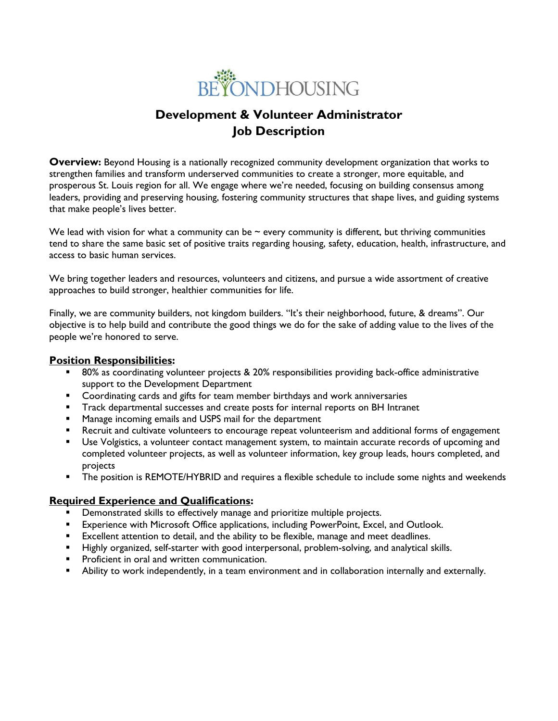

# **Development & Volunteer Administrator Job Description**

**Overview:** Beyond Housing is a nationally recognized community development organization that works to strengthen families and transform underserved communities to create a stronger, more equitable, and prosperous St. Louis region for all. We engage where we're needed, focusing on building consensus among leaders, providing and preserving housing, fostering community structures that shape lives, and guiding systems that make people's lives better.

We lead with vision for what a community can be  $\sim$  every community is different, but thriving communities tend to share the same basic set of positive traits regarding housing, safety, education, health, infrastructure, and access to basic human services.

We bring together leaders and resources, volunteers and citizens, and pursue a wide assortment of creative approaches to build stronger, healthier communities for life.

Finally, we are community builders, not kingdom builders. "It's their neighborhood, future, & dreams". Our objective is to help build and contribute the good things we do for the sake of adding value to the lives of the people we're honored to serve.

#### **Position Responsibilities:**

- 80% as coordinating volunteer projects & 20% responsibilities providing back-office administrative support to the Development Department
- Coordinating cards and gifts for team member birthdays and work anniversaries
- Track departmental successes and create posts for internal reports on BH Intranet
- Manage incoming emails and USPS mail for the department
- **EXECT ADDE FOR ADDET ADDET IN ADDET** PRECISE THE REFIRE PROTHER IS A continue to the superpositional forms of engagement
- Use Volgistics, a volunteer contact management system, to maintain accurate records of upcoming and completed volunteer projects, as well as volunteer information, key group leads, hours completed, and projects
- **•** The position is REMOTE/HYBRID and requires a flexible schedule to include some nights and weekends

## **Required Experience and Qualifications:**

- **•** Demonstrated skills to effectively manage and prioritize multiple projects.
- **Experience with Microsoft Office applications, including PowerPoint, Excel, and Outlook.**
- **Excellent attention to detail, and the ability to be flexible, manage and meet deadlines.**
- Highly organized, self-starter with good interpersonal, problem-solving, and analytical skills.
- **•** Proficient in oral and written communication.
- Ability to work independently, in a team environment and in collaboration internally and externally.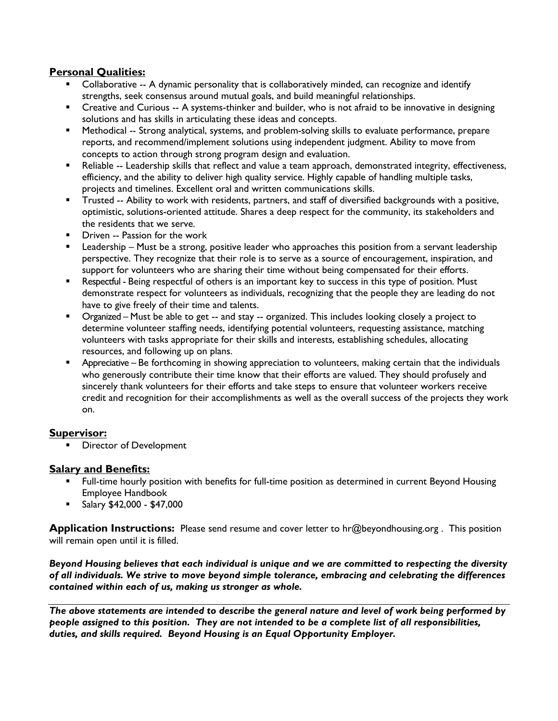## **Personal Qualities:**

- Collaborative -- A dynamic personality that is collaboratively minded, can recognize and identify strengths, seek consensus around mutual goals, and build meaningful relationships.
- **•** Creative and Curious -- A systems-thinker and builder, who is not afraid to be innovative in designing solutions and has skills in articulating these ideas and concepts.
- Methodical -- Strong analytical, systems, and problem-solving skills to evaluate performance, prepare reports, and recommend/implement solutions using independent judgment. Ability to move from concepts to action through strong program design and evaluation.
- Reliable -- Leadership skills that reflect and value a team approach, demonstrated integrity, effectiveness, efficiency, and the ability to deliver high quality service. Highly capable of handling multiple tasks, projects and timelines. Excellent oral and written communications skills.
- Trusted -- Ability to work with residents, partners, and staff of diversified backgrounds with a positive, optimistic, solutions-oriented attitude. Shares a deep respect for the community, its stakeholders and the residents that we serve.
- Driven -- Passion for the work
- **E** Leadership Must be a strong, positive leader who approaches this position from a servant leadership perspective. They recognize that their role is to serve as a source of encouragement, inspiration, and support for volunteers who are sharing their time without being compensated for their efforts.
- Respectful Being respectful of others is an important key to success in this type of position. Must demonstrate respect for volunteers as individuals, recognizing that the people they are leading do not have to give freely of their time and talents.
- Organized Must be able to get -- and stay -- organized. This includes looking closely a project to determine volunteer staffing needs, identifying potential volunteers, requesting assistance, matching volunteers with tasks appropriate for their skills and interests, establishing schedules, allocating resources, and following up on plans.
- Appreciative Be forthcoming in showing appreciation to volunteers, making certain that the individuals who generously contribute their time know that their efforts are valued. They should profusely and sincerely thank volunteers for their efforts and take steps to ensure that volunteer workers receive credit and recognition for their accomplishments as well as the overall success of the projects they work on.

## **Supervisor:**

**■** Director of Development

## **Salary and Benefits:**

- **EXECT FULL-LIME HOURDER 1** Full-time position as determined in current Beyond Housing Employee Handbook
- Salary \$42,000 \$47,000

**Application Instructions:** Please send resume and cover letter to hr@beyondhousing.org . This position will remain open until it is filled.

*Beyond Housing believes that each individual is unique and we are committed to respecting the diversity of all individuals. We strive to move beyond simple tolerance, embracing and celebrating the differences contained within each of us, making us stronger as whole.*

*The above statements are intended to describe the general nature and level of work being performed by people assigned to this position. They are not intended to be a complete list of all responsibilities, duties, and skills required. Beyond Housing is an Equal Opportunity Employer.*